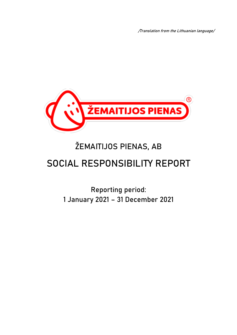/Translation from the Lithuanian language/



# ŽEMAITIJOS PIENAS, AB

# **SOCIAL RESPONSIBILITY REPORT**

Reporting period: 1 January 2021 – 31 December 2021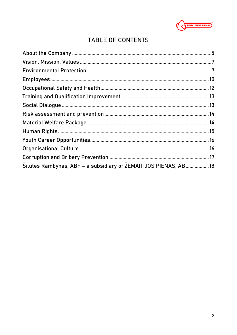

# TABLE OF CONTENTS

| Šilutės Rambynas, ABF - a subsidiary of ŽEMAITIJOS PIENAS, AB 18 |  |
|------------------------------------------------------------------|--|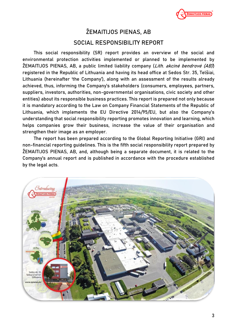

# **ŽEMAITIJOS PIENAS, AB**

# **SOCIAL RESPONSIBILITY REPORT**

This social responsibility (SR) report provides an overview of the social and environmental protection activities implemented or planned to be implemented by ŽEMAITIJOS PIENAS, AB, a public limited liability company (*Lith. akcinė bendrovė (AB)*) registered in the Republic of Lithuania and having its head office at Sedos Str. 35, Telšiai, Lithuania (hereinafter 'the Company'), along with an assessment of the results already achieved, thus, informing the Company's stakeholders (consumers, employees, partners, suppliers, investors, authorities, non-governmental organisations, civic society and other entities) about its responsible business practices. This report is prepared not only because it is mandatory according to the Law on Company Financial Statements of the Republic of Lithuania, which implements the EU Directive 2014/95/EU, but also the Company's understanding that social responsibility reporting promotes innovation and learning, which helps companies grow their business, increase the value of their organisation and strengthen their image as an employer.

The report has been prepared according to the Global Reporting Initiative (GRI) and non-financial reporting guidelines. This is the fifth social responsibility report prepared by ŽEMAITIJOS PIENAS, AB, and, although being a separate document, it is related to the Company's annual report and is published in accordance with the procedure established by the legal acts.

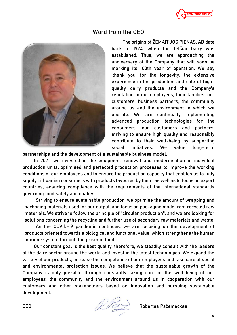

#### **Word from the CEO**



The origins of ŽEMAITIJOS PIENAS, AB date back to 1924, when the Telšiai Dairy was established. Thus, we are approaching the anniversary of the Company that will soon be marking its 100th year of operation. We say 'thank you' for the longevity, the extensive experience in the production and sale of highquality dairy products and the Company's reputation to our employees, their families, our customers, business partners, the community around us and the environment in which we operate. We are continually implementing advanced production technologies for the consumers, our customers and partners, striving to ensure high quality and responsibly contribute to their well-being by supporting social initiatives. We value long-term

partnerships and the development of a sustainable business model.

In 2021, we invested in the equipment renewal and modernisation in individual production units, optimised and perfected production processes to improve the working conditions of our employees and to ensure the production capacity that enables us to fully supply Lithuanian consumers with products favoured by them, as well as to focus on export countries, ensuring compliance with the requirements of the international standards governing food safety and quality.

Striving to ensure sustainable production, we optimise the amount of wrapping and packaging materials used for our output, and focus on packaging made from recycled raw materials. We strive to follow the principle of "circular production", and we are looking for solutions concerning the recycling and further use of secondary raw materials and waste.

As the COVID-19 pandemic continues, we are focusing on the development of products oriented towards a biological and functional value, which strengthens the human immune system through the prism of food.

Our constant goal is the best quality, therefore, we steadily consult with the leaders of the dairy sector around the world and invest in the latest technologies. We expand the variety of our products, increase the competence of our employees and take care of social and environmental protection issues. We believe that the sustainable growth of the Company is only possible through constantly taking care of the well-being of our employees, the community and the environment around us in cooperation with our customers and other stakeholders based on innovation and pursuing sustainable development.

CEO Robertas Pažemeckas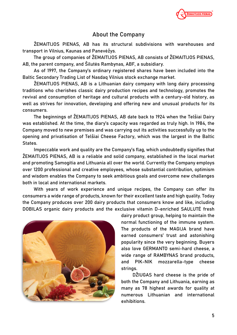

# **About the Company**

ŽEMAITIJOS PIENAS, AB has its structural subdivisions with warehouses and transport in Vilnius, Kaunas and Panevėžys.

The group of companies of ŽEMAITIJOS PIENAS, AB consists of ŽEMAITIJOS PIENAS, AB, the parent company, and Šilutės Rambynas, ABF, a subsidiary.

As of 1997, the Company's ordinary registered shares have been included into the Baltic Secondary Trading List of Nasdaq Vilnius stock exchange market.

ŽEMAITIJOS PIENAS, AB is a Lithuanian dairy company with long dairy processing traditions who cherishes classic dairy production recipes and technology, promotes the revival and consumption of heritage and cultural products with a century-old history, as well as strives for innovation, developing and offering new and unusual products for its consumers.

The beginnings of ŽEMAITIJOS PIENAS, AB date back to 1924 when the Telšiai Dairy was established. At the time, the diary's capacity was regarded as truly high. In 1984, the Company moved to new premises and was carrying out its activities successfully up to the opening and privatisation of Telšiai Cheese Factory, which was the largest in the Baltic States.

Impeccable work and quality are the Company's flag, which undoubtedly signifies that ŽEMAITIJOS PIENAS, AB is a reliable and solid company, established in the local market and promoting Samogitia and Lithuania all over the world. Currently the Company employs over 1200 professional and creative employees, whose substantial contribution, optimism and wisdom enables the Company to seek ambitious goals and overcome new challenges both in local and international markets.

With years of work experience and unique recipes, the Company can offer its consumers a wide range of products, known for their excellent taste and high quality. Today the Company produces over 200 dairy products that consumers know and like, including DOBILAS organic dairy products and the exclusive vitamin D-enriched SAULUTĖ fresh



dairy product group, helping to maintain the normal functioning of the immune system. The products of the MAGIJA brand have earned consumers' trust and astonishing popularity since the very beginning. Buyers also love GERMANTO semi-hard cheese, a wide range of RAMBYNAS brand products, and PIK-NIK mozzarella-type cheese strings.

DŽIUGAS hard cheese is the pride of both the Company and Lithuania, earning as many as 78 highest awards for quality at numerous Lithuanian and international exhibitions.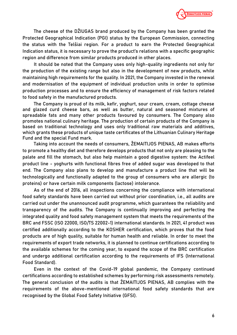

The cheese of the DŽIUGAS brand produced by the Company has been granted the Protected Geographical Indication (PGI) status by the European Commission, connecting the status with the Telšiai region. For a product to earn the Protected Geographical Indication status, it is necessary to prove the product's relations with a specific geographic region and difference from similar products produced in other places.

It should be noted that the Company uses only high-quality ingredients not only for the production of the existing range but also in the development of new products, while maintaining high requirements for the quality. In 2021, the Company invested in the renewal and modernisation of the equipment of individual production units in order to optimise production processes and to ensure the efficiency of management of risk factors related to food safety in the manufactured products.

The Company is proud of its milk, kefir, yoghurt, sour cream, cream, cottage cheese and glazed curd cheese bars, as well as butter, natural and seasoned mixtures of spreadable fats and many other products favoured by consumers. The Company also promotes national culinary heritage. The production of certain products of the Company is based on traditional technology and uses only traditional raw materials and additives, which grants these products of unique taste certificates of the Lithuanian Culinary Heritage Fund and the special Fund mark.

Taking into account the needs of consumers, ŽEMAITIJOS PIENAS, AB makes efforts to promote a healthy diet and therefore develops products that not only are pleasing to the palate and fill the stomach, but also help maintain a good digestive system: the Actifeel product line - yoghurts with functional fibres free of added sugar was developed to that end. The Company also plans to develop and manufacture a product line that will be technologically and functionally adapted to the group of consumers who are allergic (to proteins) or have certain milk components (lactose) intolerance.

As of the end of 2016, all inspections concerning the compliance with international food safety standards have been carried out without prior coordination, i.e., all audits are carried out under the unannounced audit programme, which guarantees the reliability and transparency of the audits. The Company is continually improving and perfecting the integrated quality and food safety management system that meets the requirements of the BRC and FSSC (ISO 22000, ISO/TS 22002-1) international standards. In 2021, 41 product was certified additionally according to the KOSHER certification, which proves that the food products are of high quality, suitable for human health and reliable. In order to meet the requirements of export trade networks, it is planned to continue certifications according to the available schemes for the coming year, to expand the scope of the BRC certification and undergo additional certification according to the requirements of IFS (International Food Standard).

Even in the context of the Covid-19 global pandemic, the Company continued certifications according to established schemes by performing risk assessments remotely. The general conclusion of the audits is that ŽEMAITIJOS PIENAS, AB complies with the requirements of the above-mentioned international food safety standards that are recognised by the Global Food Safety Initiative (GFSI).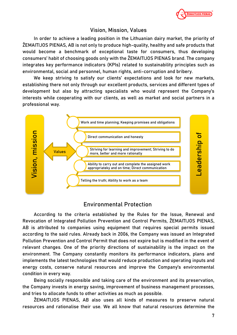

#### **Vision, Mission, Values**

In order to achieve a leading position in the Lithuanian dairy market, the priority of ŽEMAITIJOS PIENAS, AB is not only to produce high-quality, healthy and safe products that would become a benchmark of exceptional taste for consumers, thus developing consumers' habit of choosing goods only with the ŽEMAITIJOS PIENAS brand. The company integrates key performance indicators (KPIs) related to sustainability principles such as environmental, social and personnel, human rights, anti-corruption and bribery.

We keep striving to satisfy our clients' expectations and look for new markets, establishing there not only through our excellent products, services and different types of development but also by attracting specialists who would represent the Company's interests while cooperating with our clients, as well as market and social partners in a professional way.



# **Environmental Protection**

According to the criteria established by the Rules for the Issue, Renewal and Revocation of Integrated Pollution Prevention and Control Permits, ŽEMAITIJOS PIENAS, AB is attributed to companies using equipment that requires special permits issued according to the said rules. Already back in 2006, the Company was issued an Integrated Pollution Prevention and Control Permit that does not expire but is modified in the event of relevant changes. One of the priority directions of sustainability is the impact on the environment. The Company constantly monitors its performance indicators, plans and implements the latest technologies that would reduce production and operating inputs and energy costs, conserve natural resources and improve the Company's environmental condition in every way.

Being socially responsible and taking care of the environment and its preservation, the Company invests in energy saving, improvement of business management processes, and tries to allocate funds to other activities as much as possible.

ŽEMAITIJOS PIENAS, AB also uses all kinds of measures to preserve natural resources and rationalise their use. We all know that natural resources determine the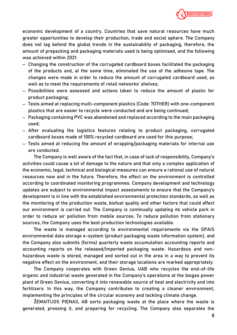

economic development of a country. Countries that save natural resources have much greater opportunities to develop their production, trade and social sphere. The Company does not lag behind the global trends in the sustainability of packaging, therefore, the amount of prepacking and packaging materials used is being optimised, and the following was achieved within 2021:

- − Changing the construction of the corrugated cardboard boxes facilitated the packaging of the products and, at the same time, eliminated the use of the adhesive tape. The changes were made in order to reduce the amount of corrugated cardboard used, as well as to meet the requirements of retail networks' shelves;
- − Possibilities were assessed and actions taken to reduce the amount of plastic for product packaging;
- − Tests aimed at replacing multi-component plastics (Code: 7OTHER) with one-component plastics that are easier to recycle were conducted and are being continued;
- − Packaging containing PVC was abandoned and replaced according to the main packaging used;
- − After evaluating the logistics features relating to product packaging, corrugated cardboard boxes made of 100% recycled cardboard are used for this purpose;
- − Tests aimed at reducing the amount of wrapping/packaging materials for internal use are conducted.

The Company is well aware of the fact that, in case of lack of responsibility, Company's activities could cause a lot of damage to the nature and that only a complex application of the economic, legal, technical and biological measures can ensure a rational use of natural resources now and in the future. Therefore, the effect on the environment is controlled according to coordinated monitoring programmes. Company development and technology updates are subject to environmental impact assessments to ensure that the Company's development is in line with the established environmental protection standards, as well as the monitoring of the production waste, biofuel quality and other factors that could affect our environment is carried out. The Company is continually updating its vehicle park in order to reduce air pollution from mobile sources. To reduce pollution from stationary sources, the Company uses the best production technologies available.

The waste is managed according to environmental requirements via the GPAIS environmental data storage e-system (product packaging waste information system), and the Company also submits (forms) quarterly waste accumulation accounting reports and accounting reports on the released/imported packaging waste. Hazardous and nonhazardous waste is stored, managed and sorted out in the area in a way to prevent its negative effect on the environment, and their storage locations are marked appropriately.

The Company cooperates with Green Genius, UAB who recycles the end-of-life organic and industrial waste generated in the Company's operations at the biogas power plant of Green Genius, converting it into renewable source of heat and electricity and into fertilizers. In this way, the Company contributes to creating a cleaner environment, implementing the principles of the circular economy and tackling climate change.

ŽEMAITIJOS PIENAS, AB sorts packaging waste at the place where the waste is generated, pressing it, and preparing for recycling. The Company also separates the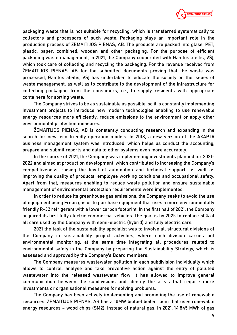

packaging waste that is not suitable for recycling, which is transferred systematically to collectors and processors of such waste. Packaging plays an important role in the production process of ŽEMAITIJOS PIENAS, AB. The products are packed into glass, PET, plastic, paper, combined, wooden and other packaging. For the purpose of efficient packaging waste management, in 2021, the Company cooperated with Gamtos ateitis, VŠĮ, which took care of collecting and recycling the packaging. For the revenue received from ŽEMAITIJOS PIENAS, AB for the submitted documents proving that the waste was processed, Gamtos ateitis, VŠĮ has undertaken to educate the society on the issues of waste management, as well as to contribute to the development of the infrastructure for collecting packaging from the consumers, i.e., to supply residents with appropriate containers for sorting waste.

The Company strives to be as sustainable as possible, so it is constantly implementing investment projects to introduce new modern technologies enabling to use renewable energy resources more efficiently, reduce emissions to the environment or apply other environmental protection measures.

ŽEMAITIJOS PIENAS, AB is constantly conducting research and expanding in the search for new, eco-friendly operation models. In 2018, a new version of the AXAPTA business management system was introduced, which helps us conduct the accounting, prepare and submit reports and data to other systems even more accurately.

In the course of 2021, the Company was implementing investments planned for 2021- 2022 and aimed at production development, which contributed to increasing the Company's competitiveness, raising the level of automation and technical support, as well as improving the quality of products, employee working conditions and occupational safety. Apart from that, measures enabling to reduce waste pollution and ensure sustainable management of environmental protection requirements were implemented.

In order to reduce its greenhouse gas emissions, the Company seeks to avoid the use of equipment using Freon gas or to purchase equipment that uses a more environmentally friendly R-32 refrigerant with a lower carbon footprint. In the first half of 2021, the Company acquired its first fully electric commercial vehicles. The goal is by 2025 to replace 50% of all cars used by the Company with semi-electric (hybrid) and fully electric cars.

2021 the task of the sustainability specialist was to involve all structural divisions of the Company in sustainability project activities, where each division carries out environmental monitoring, at the same time integrating all procedures related to environmental safety in the Company by preparing the Sustainability Strategy, which is assessed and approved by the Company's Board members.

The Company measures wastewater pollution in each subdivision individually which allows to control, analyse and take preventive action against the entry of polluted wastewater into the released wastewater flow, it has allowed to improve general communication between the subdivisions and identify the areas that require more investments or organisational measures for solving problems.

The Company has been actively implementing and promoting the use of renewable resources. ŽEMAITIJOS PIENAS, AB has a 10MW biofuel boiler room that uses renewable energy resources – wood chips (SM2), instead of natural gas. In 2021, 14,845 MWh of gas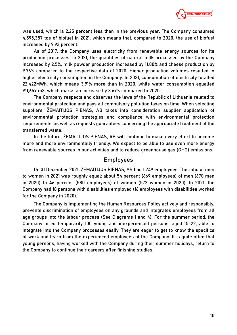

was used, which is 2.25 percent less than in the previous year. The Company consumed 4,595,357 toe of biofuel in 2021, which means that, compared to 2020, the use of biofuel increased by 9.93 percent.

As of 2017, the Company uses electricity from renewable energy sources for its production processes. In 2021, the quantities of natural milk processed by the Company increased by 2.5%, milk powder production increased by 11.00% and cheese production by 9.76% compared to the respective data of 2020. Higher production volumes resulted in higher electricity consumption in the Company. In 2021, consumption of electricity totalled 22,422MWh, which means 3.91% more than in 2020, while water consumption equalled 911,659 m3, which marks an increase by 3.69% compared to 2020.

The Company respects and observes the laws of the Republic of Lithuania related to environmental protection and pays all compulsory pollution taxes on time. When selecting suppliers, ŽEMAITIJOS PIENAS, AB takes into consideration supplier application of environmental protection strategies and compliance with environmental protection requirements, as well as requests guarantees concerning the appropriate treatment of the transferred waste.

In the future, ŽEMAITIJOS PIENAS, AB will continue to make every effort to become more and more environmentally friendly. We expect to be able to use even more energy from renewable sources in our activities and to reduce greenhouse gas (GHG) emissions.

#### **Employees**

On 31 December 2021, ŽEMAITIJOS PIENAS, AB had 1,249 employees. The ratio of men to women in 2021 was roughly equal: about 54 percent (669 employees) of men (670 men in 2020) to 46 percent (580 employees) of women (572 women in 2020). In 2021, the Company had 18 persons with disabilities employed (16 employees with disabilities worked for the Company in 2020).

The Company is implementing the Human Resources Policy actively and responsibly, prevents discrimination of employees on any grounds and integrates employees from all age groups into the labour process (See Diagrams 1 and 4). For the summer period, the Company hired temporarily 100 young and inexperienced persons, aged 15-22, able to integrate into the Company processes easily. They are eager to get to know the specifics of work and learn from the experienced employees of the Company. It is quite often that young persons, having worked with the Company during their summer holidays, return to the Company to continue their careers after finishing studies.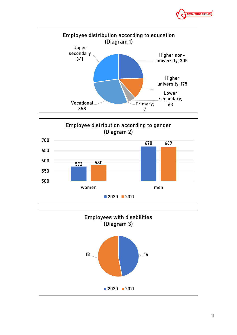





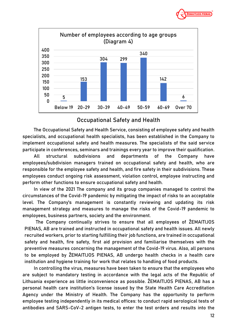



#### **Occupational Safety and Health**

The Occupational Safety and Health Service, consisting of employee safety and health specialists, and occupational health specialists, has been established in the Company to implement occupational safety and health measures. The specialists of the said service participate in conferences, seminars and trainings every year to improve their qualification.

All structural subdivisions and departments of the Company have employees/subdivision managers trained on occupational safety and health, who are responsible for the employee safety and health, and fire safety in their subdivisions. These employees conduct ongoing risk assessment, violation control, employee instructing and perform other functions to ensure occupational safety and health.

In view of the 2021 The company and its group companies managed to control the circumstances of the Covid-19 pandemic by mitigating the impact of risks to an acceptable level. The Company's management is constantly reviewing and updating its risk management strategy and measures to manage the risks of the Covid-19 pandemic to employees, business partners, society and the environment.

The Company continually strives to ensure that all employees of ŽEMAITIJOS PIENAS, AB are trained and instructed in occupational safety and health issues. All newly recruited workers, prior to starting fulfilling their job functions, are trained in occupational safety and health, fire safety, first aid provision and familiarise themselves with the preventive measures concerning the management of the Covid-19 virus. Also, all persons to be employed by ŽEMAITIJOS PIENAS, AB undergo health checks in a health care institution and hygiene training for work that relates to handling of food products.

In controlling the virus, measures have been taken to ensure that the employees who are subject to mandatory testing in accordance with the legal acts of the Republic of Lithuania experience as little inconvenience as possible. ŽEMAITIJOS PIENAS, AB has a personal health care institution's license issued by the State Health Care Accreditation Agency under the Ministry of Health. The Company has the opportunity to perform employee testing independently in its medical offices: to conduct rapid serological tests of antibodies and SARS-CoV-2 antigen tests, to enter the test orders and results into the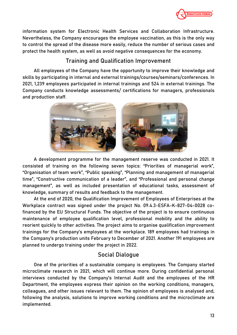

information system for Electronic Health Services and Collaboration Infrastructure. Nevertheless, the Company encourages the employee vaccination, as this is the only way to control the spread of the disease more easily, reduce the number of serious cases and protect the health system, as well as avoid negative consequences for the economy.

# **Training and Qualification Improvement**

All employees of the Company have the opportunity to improve their knowledge and skills by participating in internal and external trainings/courses/seminars/conferences. In 2021, 1,239 employees participated in internal trainings and 524 in external trainings. The Company conducts knowledge assessments/ certifications for managers, professionals and production staff.



A development programme for the management reserve was conducted in 2021. It consisted of training on the following seven topics: "Priorities of managerial work", "Organisation of team work", "Public speaking", "Planning and management of managerial time", "Constructive communication of a leader", and "Professional and personal change management", as well as included presentation of educational tasks, assessment of knowledge, summary of results and feedback to the management.

At the end of 2020, the Qualification Improvement of Employees of Enterprises at the Workplace contract was signed under the project No. 09.4.3-ESFA-K-827-04-0028 cofinanced by the EU Structural Funds. The objective of the project is to ensure continuous maintenance of employee qualification level, professional mobility and the ability to reorient quickly to other activities. The project aims to organise qualification improvement trainings for the Company's employees at the workplace. 189 employees had trainings in the Company's production units February to December of 2021. Another 191 employees are planned to undergo training under the project in 2022.

# **Social Dialogue**

One of the priorities of a sustainable company is employees. The Company started microclimate research in 2021, which will continue more. During confidential personal interviews conducted by the Company's Internal Audit and the employees of the HR Department, the employees express their opinion on the working conditions, managers, colleagues, and other issues relevant to them. The opinion of employees is analysed and, following the analysis, solutions to improve working conditions and the microclimate are implemented.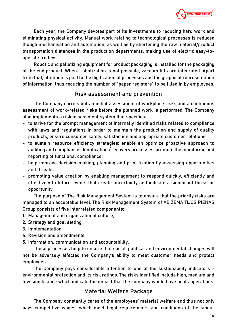

Each year, the Company devotes part of its investments to reducing hard work and eliminating physical activity. Manual work relating to technological processes is reduced though mechanisation and automation, as well as by shortening the raw material/product transportation distances in the production departments, making use of electric easy-tooperate trolleys.

Robotic and palletizing equipment for product packaging is installed for the packaging of the end product. Where robotization is not possible, vacuum lifts are integrated. Apart from that, attention is paid to the digitization of processes and the graphical representation of information, thus reducing the number of "paper registers" to be filled in by employees.

#### **Risk assessment and prevention**

The Company carries out an initial assessment of workplace risks and a continuous assessment of work-related risks before the planned work is performed. The Company also implements a risk assessment system that specifies:

- to strive for the prompt management of internally identified risks related to compliance with laws and regulations in order to maintain the production and supply of quality products, ensure consumer safety, satisfaction and appropriate customer relations;
- to sustain resource efficiency strategies; enable an optimize proactive approach to auditing and compliance identification / recovery processes; promote the monitoring and reporting of functional compliance;
- help improve decision-making, planning and prioritization by assessing opportunities and threats;
- promoting value creation by enabling management to respond quickly, efficiently and effectively to future events that create uncertainty and indicate a significant threat or opportunity.

The purpose of The Risk Management System is to ensure that the priority risks are managed to an acceptable level. The Risk Management System of AB ŽEMAITIJOS PIENAS Group consists of five interrelated components:

- 1. Management and organizational culture;
- 2. Strategy and goal setting;
- 3. Implementation;
- 4. Revision and amendments;
- 5. Information, communication and accountability.

These processes help to ensure that social, political and environmental changes will not be adversely affected the Company's ability to meet customer needs and protect employees.

The Company pays considerable attention to one of the sustainability indicators environmental protection and its risk ratings. The risks identified include high, medium and low significance which indicate the impact that the company would have on its operations.

# **Material Welfare Package**

The Company constantly cares of the employees' material welfare and thus not only pays competitive wages, which meet legal requirements and conditions of the labour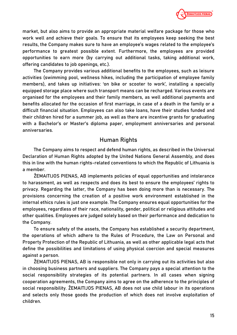

market, but also aims to provide an appropriate material welfare package for those who work well and achieve their goals. To ensure that its employees keep seeking the best results, the Company makes sure to have an employee's wages related to the employee's performance to greatest possible extent. Furthermore, the employees are provided opportunities to earn more (by carrying out additional tasks, taking additional work, offering candidates to job openings, etc.).

The Company provides various additional benefits to the employees, such as leisure activities (swimming pool, wellness hikes, including the participation of employee family members), and takes up initiatives: 'on bike or scooter to work', installing a specially equipped storage place where such transport means can be recharged. Various events are organised for the employees and their family members, as well additional payments and benefits allocated for the occasion of first marriage, in case of a death in the family or a difficult financial situation. Employees can also take loans, have their studies funded and their children hired for a summer job, as well as there are incentive grants for graduating with a Bachelor's or Master's diploma paper, employment anniversaries and personal anniversaries.

#### **Human Rights**

The Company aims to respect and defend human rights, as described in the Universal Declaration of Human Rights adopted by the United Nations General Assembly, and does this in line with the human rights-related conventions to which the Republic of Lithuania is a member.

ŽEMAITIJOS PIENAS, AB implements policies of equal opportunities and intolerance to harassment, as well as respects and does its best to ensure the employees' rights to privacy. Regarding the latter, the Company has been doing more than is necessary. The provisions concerning the creation of a positive work environment established in the internal ethics rules is just one example. The Company ensures equal opportunities for the employees, regardless of their race, nationality, gender, political or religious attitudes and other qualities. Employees are judged solely based on their performance and dedication to the Company.

To ensure safety of the assets, the Company has established a security department, the operations of which adhere to the Rules of Procedure, the Law on Personal and Property Protection of the Republic of Lithuania, as well as other applicable legal acts that define the possibilities and limitations of using physical coercion and special measures against a person.

ŽEMAITIJOS PIENAS, AB is responsible not only in carrying out its activities but also in choosing business partners and suppliers. The Company pays a special attention to the social responsibility strategies of its potential partners. In all cases when signing cooperation agreements, the Company aims to agree on the adherence to the principles of social responsibility. ŽEMAITIJOS PIENAS, AB does not use child labour in its operations and selects only those goods the production of which does not involve exploitation of children.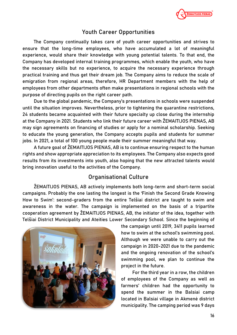

# **Youth Career Opportunities**

The Company continually takes care of youth career opportunities and strives to ensure that the long-time employees, who have accumulated a lot of meaningful experience, would share their knowledge with young potential talents. To that end, the Company has developed internal training programmes, which enable the youth, who have the necessary skills but no experience, to acquire the necessary experience through practical training and thus get their dream job. The Company aims to reduce the scale of emigration from regional areas, therefore, HR Department members with the help of employees from other departments often make presentations in regional schools with the purpose of directing pupils on the right career path.

Due to the global pandemic, the Company's presentations in schools were suspended until the situation improves. Nevertheless, prior to tightening the quarantine restrictions, 24 students became acquainted with their future specialty up close during the internship at the Company in 2021. Students who link their future career with ŽEMAITIJOS PIENAS, AB may sign agreements on financing of studies or apply for a nominal scholarship. Seeking to educate the young generation, the Company accepts pupils and students for summer jobs. In 2021, a total of 100 young people made their summer meaningful that way.

A future goal of ŽEMAITIJOS PIENAS, AB is to continue ensuring respect to the human rights and show appropriate appreciation to its employees. The Company also expects good results from its investments into youth, also hoping that the new attracted talents would bring innovation useful to the activities of the Company.

# **Organisational Culture**

ŽEMAITIJOS PIENAS, AB actively implements both long-term and short-term social campaigns. Probably the one lasting the longest is the 'Finish the Second Grade Knowing How to Swim': second-graders from the entire Telšiai district are taught to swim and awareness in the water. The campaign is implemented on the basis of a tripartite cooperation agreement by ŽEMAITIJOS PIENAS, AB, the initiator of the idea, together with Telšiai District Municipality and Ateities Lower Secondary School. Since the beginning of



the campaign until 2019, 3411 pupils learned how to swim at the school's swimming pool. Although we were unable to carry out the campaign in 2020-2021 due to the pandemic and the ongoing renovation of the school's swimming pool, we plan to continue the project in the future.

For the third year in a row, the children of employees of the Company as well as farmers' children had the opportunity to spend the summer in the Balsiai camp located in Balsiai village in Akmenė district municipality. The camping period was 9 days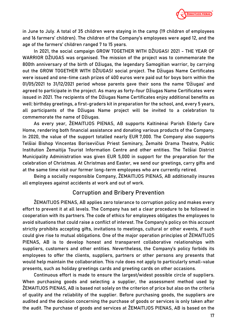

in June to July. A total of 35 children were staying in the camp (19 children of employees and 16 farmers' children). The children of the Company's employees were aged 12, and the age of the farmers' children ranged 7 to 15 years.

In 2021, the social campaign GROW TOGETHER WITH DŽIUGAS! 2021 - THE YEAR OF WARRIOR DŽIUGAS was organised. The mission of the project was to commemorate the 800th anniversary of the birth of Džiugas, the legendary Samogitian warrior, by carrying out the GROW TOGETHER WITH DŽIUGAS! social project. The Džiugas Name Certificates were issued and one-time cash prizes of 400 euros were paid out for boys born within the 01/05/2021 to 31/12/2021 period whose parents gave their sons the name 'Džiugas' and agreed to participate in the project. As many as forty-four Džiugas Name Certificates were issued in 2021. The recipients of the Džiugas Name Certificates enjoy additional benefits as well: birthday greetings, a first-graders kit in preparation for the school, and, every 5 years, all participants of the Džiugas Name project will be invited to a celebration to commemorate the name of Džiugas.

As every year, ŽEMAITIJOS PIENAS, AB supports Kaltinėnai Parish Elderly Care Home, rendering both financial assistance and donating various products of the Company. In 2020, the value of the support totalled nearly EUR 7,000. The Company also supports Telšiai Bishop Vincentas Borisevičius Priest Seminary, Žemaitė Drama Theatre, Public Institution Žemaitija Tourist Information Centre and other entities. The Telšiai District Municipality Administration was given EUR 5,000 in support for the preparation for the celebration of Christmas. At Christmas and Easter, we send our greetings, carry gifts and at the same time visit our former long-term employees who are currently retired.

Being a socially responsible Company, ŽEMAITIJOS PIENAS, AB additionally insures all employees against accidents at work and out of work.

#### **Corruption and Bribery Prevention**

ŽEMAITIJOS PIENAS, AB applies zero tolerance to corruption policy and makes every effort to prevent it at all levels. The Company has set a clear procedure to be followed in cooperation with its partners. The code of ethics for employees obligates the employees to avoid situations that could raise a conflict of interest. The Company's policy on this account strictly prohibits accepting gifts, invitations to meetings, cultural or other events, if such could give rise to mutual obligations. One of the major operation principles of ŽEMAITIJOS PIENAS, AB is to develop honest and transparent collaborative relationships with suppliers, customers and other entities. Nevertheless, the Company's policy forbids its employees to offer the clients, suppliers, partners or other persons any presents that would help maintain the collaboration. This rule does not apply to particularly small-value presents, such as holiday greetings cards and greeting cards on other occasions.

Continuous effort is made to ensure the largest/widest possible circle of suppliers. When purchasing goods and selecting a supplier, the assessment method used by ŽEMAITIJOS PIENAS, AB is based not solely on the criterion of price but also on the criteria of quality and the reliability of the supplier. Before purchasing goods, the suppliers are audited and the decision concerning the purchase of goods or services is only taken after the audit. The purchase of goods and services at ŽEMAITIJOS PIENAS, AB is based on the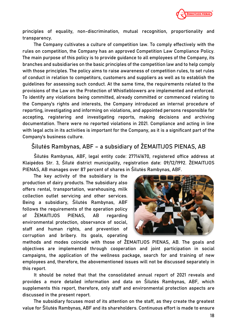

principles of equality, non-discrimination, mutual recognition, proportionality and transparency.

The Company cultivates a culture of competition law. To comply effectively with the rules on competition, the Company has an approved Competition Law Compliance Policy. The main purpose of this policy is to provide guidance to all employees of the Company, its branches and subsidiaries on the basic principles of the competition law and to help comply with those principles. The policy aims to raise awareness of competition rules, to set rules of conduct in relation to competitors, customers and suppliers as well as to establish the guidelines for assessing such conduct. At the same time, the requirements related to the provisions of the Law on the Protection of Whistleblowers are implemented and enforced. To identify any violations being committed, already committed or commenced relating to the Company's rights and interests, the Company introduced an internal procedure of reporting, investigating and informing on violations, and appointed persons responsible for accepting, registering and investigating reports, making decisions and archiving documentation. There were no reported violations in 2021. Compliance and acting in line with legal acts in its activities is important for the Company, as it is a significant part of the Company's business culture.

#### **Šilutės Rambynas, ABF – a subsidiary of ŽEMAITIJOS PIENAS, AB**

Šilutės Rambynas, ABF, legal entity code: 277141670, registered office address at Klaipėdos Str. 3, Šilutė district municipality, registration date: 09/12/1992. ŽEMAITIJOS PIENAS, AB manages over 87 percent of shares in Šilutės Rambynas, ABF.

The key activity of the subsidiary is the production of dairy products. The subsidiary also offers rental, transportation, warehousing, milk collection outlet servicing and other services. Being a subsidiary, Šilutės Rambynas, ABF follows the requirements of the operation policy of ŽEMAITIJOS PIENAS, AB regarding environmental protection, observance of social, staff and human rights, and prevention of corruption and bribery. Its goals, operating



methods and modes coincide with those of ŽEMAITIJOS PIENAS, AB. The goals and objectives are implemented through cooperation and joint participation in social campaigns, the application of the wellness package, search for and training of new employees and, therefore, the abovementioned issues will not be discussed separately in this report.

It should be noted that that the consolidated annual report of 2021 reveals and provides a more detailed information and data on Šilutės Rambynas, ABF, which supplements this report, therefore, only staff and environmental protection aspects are discussed in the present report.

The subsidiary focuses most of its attention on the staff, as they create the greatest value for Šilutės Rambynas, ABF and its shareholders. Continuous effort is made to ensure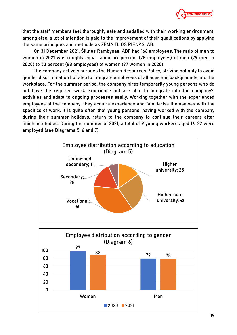

that the staff members feel thoroughly safe and satisfied with their working environment, among else, a lot of attention is paid to the improvement of their qualifications by applying the same principles and methods as ŽEMAITIJOS PIENAS, AB.

On 31 December 2021, Šilutės Rambynas, ABF had 166 employees. The ratio of men to women in 2021 was roughly equal: about 47 percent (78 employees) of men (79 men in 2020) to 53 percent (88 employees) of women (97 women in 2020).

The company actively pursues the Human Resources Policy, striving not only to avoid gender discrimination but also to integrate employees of all ages and backgrounds into the workplace. For the summer period, the company hires temporarily young persons who do not have the required work experience but are able to integrate into the company's activities and adapt to ongoing processes easily. Working together with the experienced employees of the company, they acquire experience and familiarise themselves with the specifics of work. It is quite often that young persons, having worked with the company during their summer holidays, return to the company to continue their careers after finishing studies. During the summer of 2021, a total of 9 young workers aged 16-22 were employed (see Diagrams 5, 6 and 7).



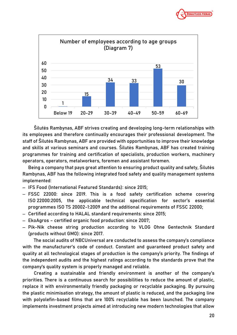



Šilutės Rambynas, ABF strives creating and developing long-term relationships with its employees and therefore continually encourages their professional development. The staff of Šilutės Rambynas, ABF are provided with opportunities to improve their knowledge and skills at various seminars and courses. Šilutės Rambynas, ABF has created training programmes for training and certification of specialists, production workers, machinery operators, operators, metalworkers, foremen and assistant foremen.

Being a company that pays great attention to ensuring product quality and safety, Šilutės Rambynas, ABF has the following integrated food safety and quality management systems implemented:

- − IFS Food (International Featured Standards): since 2015;
- − FSSC 22000: since 2019. This is a food safety certification scheme covering ISO 22000:2005, the applicable technical specification for sector's essential programmes ISO TS 20002-1:2009 and the additional requirements of FSSC 22000;
- − Certified according to HALAL standard requirements: since 2015;
- − EkoAgros certified organic food production: since 2007;
- − Pik-Nik cheese string production according to VLOG Ohne Gentechnik Standard (products without GMO): since 2017.

The social audits of NBCUniversal are conducted to assess the company's compliance with the manufacturer's code of conduct. Constant and guaranteed product safety and quality at all technological stages of production is the company's priority. The findings of the independent audits and the highest ratings according to the standards prove that the company's quality system is properly managed and reliable.

Creating a sustainable and friendly environment is another of the company's priorities. There is a continuous search for possibilities to reduce the amount of plastic, replace it with environmentally friendly packaging or recyclable packaging. By pursuing the plastic minimisation strategy, the amount of plastic is reduced, and the packaging line with polyolefin-based films that are 100% recyclable has been launched. The company implements investment projects aimed at introducing new modern technologies that allow